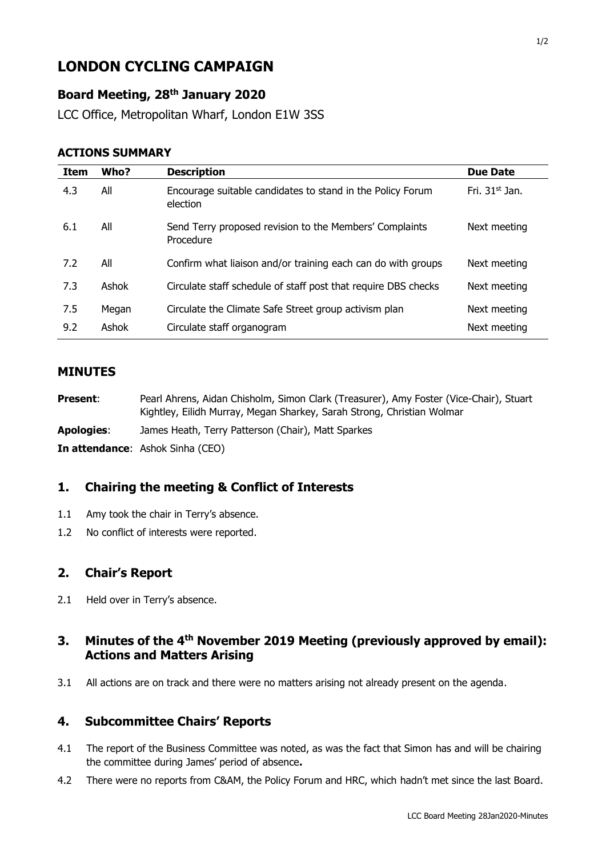# **LONDON CYCLING CAMPAIGN**

# **Board Meeting, 28th January 2020**

LCC Office, Metropolitan Wharf, London E1W 3SS

#### **ACTIONS SUMMARY**

| Item | Who?  | <b>Description</b>                                                     | <b>Due Date</b>  |
|------|-------|------------------------------------------------------------------------|------------------|
| 4.3  | All   | Encourage suitable candidates to stand in the Policy Forum<br>election | Fri. $31st$ Jan. |
| 6.1  | All   | Send Terry proposed revision to the Members' Complaints<br>Procedure   | Next meeting     |
| 7.2  | All   | Confirm what liaison and/or training each can do with groups           | Next meeting     |
| 7.3  | Ashok | Circulate staff schedule of staff post that require DBS checks         | Next meeting     |
| 7.5  | Megan | Circulate the Climate Safe Street group activism plan                  | Next meeting     |
| 9.2  | Ashok | Circulate staff organogram                                             | Next meeting     |

#### **MINUTES**

- **Present**: Pearl Ahrens, Aidan Chisholm, Simon Clark (Treasurer), Amy Foster (Vice-Chair), Stuart Kightley, Eilidh Murray, Megan Sharkey, Sarah Strong, Christian Wolmar
- **Apologies**: James Heath, Terry Patterson (Chair), Matt Sparkes

**In attendance**: Ashok Sinha (CEO)

## **1. Chairing the meeting & Conflict of Interests**

- 1.1 Amy took the chair in Terry's absence.
- 1.2 No conflict of interests were reported.

# **2. Chair's Report**

2.1 Held over in Terry's absence.

# **3. Minutes of the 4th November 2019 Meeting (previously approved by email): Actions and Matters Arising**

3.1 All actions are on track and there were no matters arising not already present on the agenda.

## **4. Subcommittee Chairs' Reports**

- 4.1 The report of the Business Committee was noted, as was the fact that Simon has and will be chairing the committee during James' period of absence**.**
- 4.2 There were no reports from C&AM, the Policy Forum and HRC, which hadn't met since the last Board.